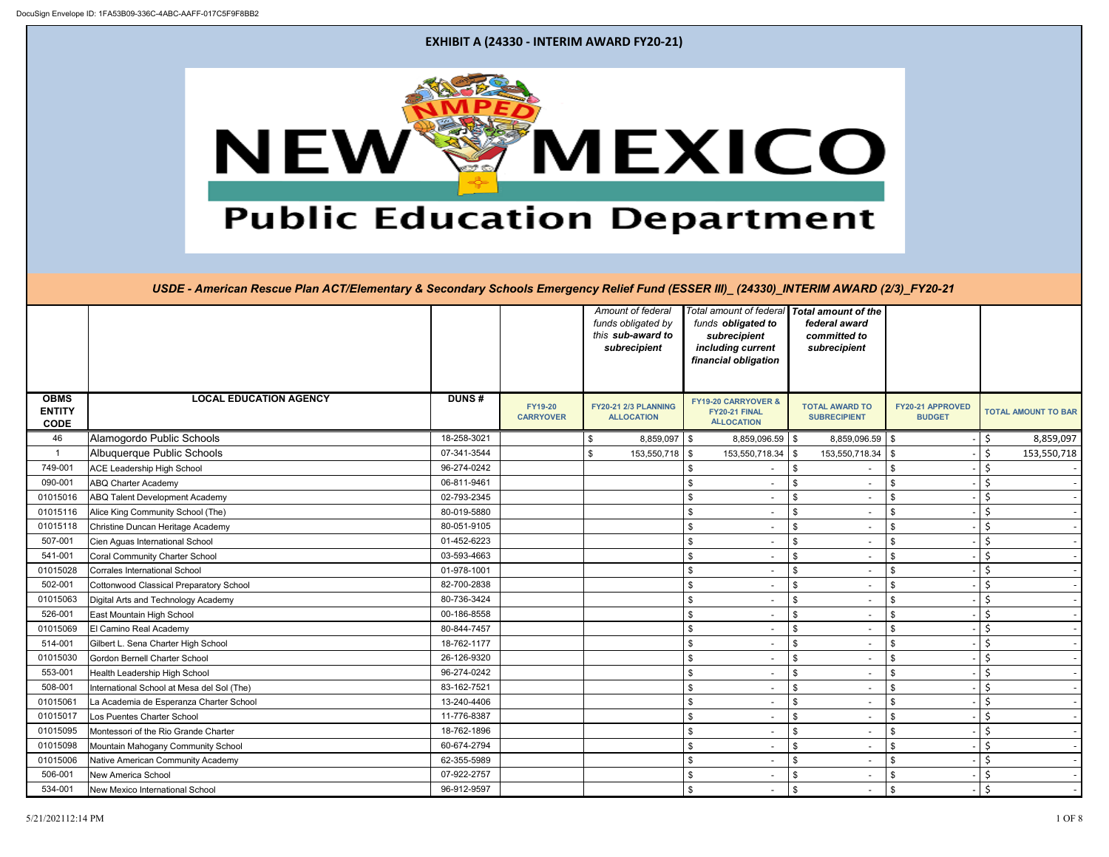|                                             |                                                |              |                                    |                | Amount of federal<br>funds obligated by   | funds obligated to                                                   | Total amount of federal Total amount of the<br>federal award |                                   |                            |
|---------------------------------------------|------------------------------------------------|--------------|------------------------------------|----------------|-------------------------------------------|----------------------------------------------------------------------|--------------------------------------------------------------|-----------------------------------|----------------------------|
|                                             |                                                |              |                                    |                | this sub-award to<br>subrecipient         | subrecipient<br>including current                                    | committed to<br>subrecipient                                 |                                   |                            |
|                                             |                                                |              |                                    |                |                                           | financial obligation                                                 |                                                              |                                   |                            |
|                                             |                                                |              |                                    |                |                                           |                                                                      |                                                              |                                   |                            |
| <b>OBMS</b><br><b>ENTITY</b><br><b>CODE</b> | <b>LOCAL EDUCATION AGENCY</b>                  | <b>DUNS#</b> | <b>FY19-20</b><br><b>CARRYOVER</b> |                | FY20-21 2/3 PLANNING<br><b>ALLOCATION</b> | <b>FY19-20 CARRYOVER &amp;</b><br>FY20-21 FINAL<br><b>ALLOCATION</b> | <b>TOTAL AWARD TO</b><br><b>SUBRECIPIENT</b>                 | FY20-21 APPROVED<br><b>BUDGET</b> | <b>TOTAL AMOUNT TO BAR</b> |
| 46                                          | Alamogordo Public Schools                      | 18-258-3021  |                                    | \$             | $8,859,097$ \$                            | $8,859,096.59$ \$                                                    | 8,859,096.59 \$                                              |                                   | \$<br>8,859,097            |
| $\mathbf{1}$                                | Albuquerque Public Schools                     | 07-341-3544  |                                    | $\mathfrak{S}$ | 153,550,718                               | \$<br>153,550,718.34                                                 | 153,550,718.34   \$<br>\$                                    |                                   | $\zeta$<br>153,550,718     |
| 749-001                                     | <b>ACE Leadership High School</b>              | 96-274-0242  |                                    |                |                                           | \$                                                                   | $\frac{1}{2}$                                                | \$                                | $\zeta$                    |
| 090-001                                     | <b>ABQ Charter Academy</b>                     | 06-811-9461  |                                    |                |                                           | \$                                                                   | $\frac{1}{2}$                                                | \$                                | $\zeta$                    |
| 01015016                                    | <b>ABQ Talent Development Academy</b>          | 02-793-2345  |                                    |                |                                           | \$<br>$\blacksquare$                                                 | \$<br>$\sim$                                                 | \$                                | $\zeta$                    |
| 01015116                                    | Alice King Community School (The)              | 80-019-5880  |                                    |                |                                           | \$                                                                   | \$                                                           | \$                                | $\zeta$                    |
| 01015118                                    | Christine Duncan Heritage Academy              | 80-051-9105  |                                    |                |                                           | \$                                                                   | \$                                                           | \$                                | $\zeta$                    |
| 507-001                                     | Cien Aguas International School                | 01-452-6223  |                                    |                |                                           | \$                                                                   | \$                                                           | \$                                | $\zeta$                    |
| 541-001                                     | <b>Coral Community Charter School</b>          | 03-593-4663  |                                    |                |                                           | \$                                                                   | \$                                                           | \$                                | $\zeta$                    |
| 01015028                                    | <b>Corrales International School</b>           | 01-978-1001  |                                    |                |                                           | \$<br>$\overline{\phantom{a}}$                                       | \$<br>$\sim$                                                 | \$                                | $\zeta$                    |
| 502-001                                     | <b>Cottonwood Classical Preparatory School</b> | 82-700-2838  |                                    |                |                                           | \$                                                                   | \$                                                           | \$                                | $\zeta$                    |
| 01015063                                    | Digital Arts and Technology Academy            | 80-736-3424  |                                    |                |                                           | \$                                                                   | \$                                                           | \$                                | $\zeta$                    |
| 526-001                                     | East Mountain High School                      | 00-186-8558  |                                    |                |                                           | \$                                                                   | \$                                                           | \$                                | $\zeta$                    |
| 01015069                                    | El Camino Real Academy                         | 80-844-7457  |                                    |                |                                           | \$                                                                   | $\frac{1}{2}$                                                | \$                                | $\zeta$                    |
| 514-001                                     | Gilbert L. Sena Charter High School            | 18-762-1177  |                                    |                |                                           | \$<br>$\sim$                                                         | \$<br>$\sim$                                                 | \$                                | $\zeta$                    |
| 01015030                                    | Gordon Bernell Charter School                  | 26-126-9320  |                                    |                |                                           | \$                                                                   | \$                                                           | \$                                | $\zeta$                    |
| 553-001                                     | Health Leadership High School                  | 96-274-0242  |                                    |                |                                           |                                                                      | \$                                                           |                                   | \$                         |
| 508-001                                     | International School at Mesa del Sol (The)     | 83-162-7521  |                                    |                |                                           | \$                                                                   | \$                                                           | \$                                | $\zeta$                    |
| 01015061                                    | La Academia de Esperanza Charter School        | 13-240-4406  |                                    |                |                                           | \$                                                                   | $\frac{1}{2}$                                                | \$                                | $\zeta$                    |
| 01015017                                    | Los Puentes Charter School                     | 11-776-8387  |                                    |                |                                           | \$<br>$\blacksquare$                                                 | \$<br>$\overline{\phantom{0}}$                               | \$                                | $\zeta$                    |
| 01015095                                    | Montessori of the Rio Grande Charter           | 18-762-1896  |                                    |                |                                           | \$                                                                   | \$                                                           | \$                                | $\zeta$                    |
| 01015098                                    | Mountain Mahogany Community School             | 60-674-2794  |                                    |                |                                           |                                                                      | \$                                                           | \$                                | $\zeta$                    |
| 01015006                                    | Native American Community Academy              | 62-355-5989  |                                    |                |                                           | \$                                                                   | $\frac{1}{2}$                                                | \$                                | $\zeta$                    |
| 506-001                                     | New America School                             | 07-922-2757  |                                    |                |                                           | \$                                                                   | \$                                                           | \$                                | $\zeta$                    |
| 534-001                                     | New Mexico International School                | 96-912-9597  |                                    |                |                                           | \$<br>$\overline{\phantom{a}}$                                       | $\frac{1}{2}$<br>$\sim$                                      | \$                                | $\zeta$                    |

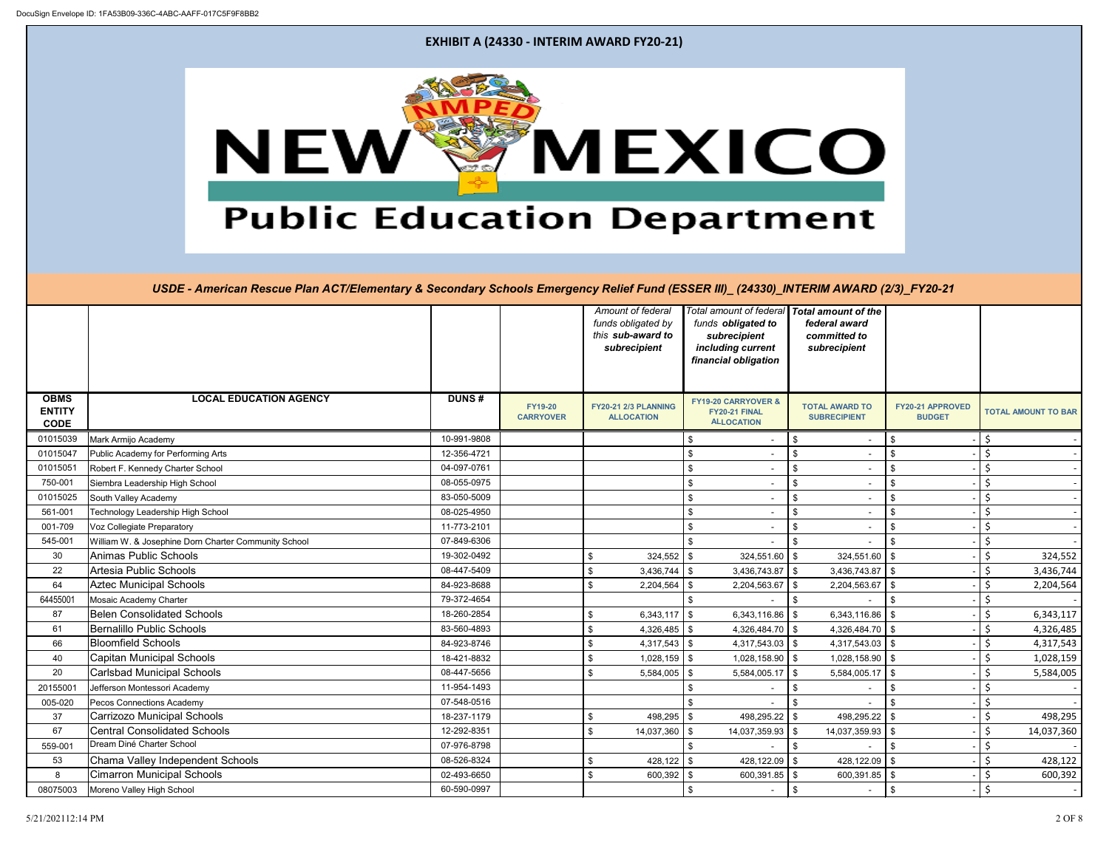

|                                             |                                                      |              |                                    | Amount of federal<br>funds obligated by<br>this sub-award to<br>subrecipient | Total amount of federal   Total amount of the<br>funds obligated to<br>subrecipient<br>including current<br>financial obligation | federal award<br>committed to<br>subrecipient |                                   |                            |
|---------------------------------------------|------------------------------------------------------|--------------|------------------------------------|------------------------------------------------------------------------------|----------------------------------------------------------------------------------------------------------------------------------|-----------------------------------------------|-----------------------------------|----------------------------|
| <b>OBMS</b><br><b>ENTITY</b><br><b>CODE</b> | <b>LOCAL EDUCATION AGENCY</b>                        | <b>DUNS#</b> | <b>FY19-20</b><br><b>CARRYOVER</b> | <b>FY20-21 2/3 PLANNING</b><br><b>ALLOCATION</b>                             | <b>FY19-20 CARRYOVER &amp;</b><br>FY20-21 FINAL<br><b>ALLOCATION</b>                                                             | <b>TOTAL AWARD TO</b><br><b>SUBRECIPIENT</b>  | FY20-21 APPROVED<br><b>BUDGET</b> | <b>TOTAL AMOUNT TO BAR</b> |
| 01015039                                    | Mark Armijo Academy                                  | 10-991-9808  |                                    |                                                                              | \$<br>$\overline{\phantom{a}}$                                                                                                   | \$                                            | \$                                | \$                         |
| 01015047                                    | Public Academy for Performing Arts                   | 12-356-4721  |                                    |                                                                              | \$                                                                                                                               | $\frac{1}{2}$                                 | \$                                | $\zeta$                    |
| 01015051                                    | Robert F. Kennedy Charter School                     | 04-097-0761  |                                    |                                                                              | \$                                                                                                                               | \$                                            | \$                                | $\zeta$                    |
| 750-001                                     | Siembra Leadership High School                       | 08-055-0975  |                                    |                                                                              | \$                                                                                                                               | \$                                            | \$                                | \$                         |
| 01015025                                    | South Valley Academy                                 | 83-050-5009  |                                    |                                                                              | \$                                                                                                                               | $\frac{1}{2}$                                 | \$                                | $\zeta$                    |
| 561-001                                     | Technology Leadership High School                    | 08-025-4950  |                                    |                                                                              | \$                                                                                                                               | $\frac{1}{2}$                                 | \$                                | $\zeta$                    |
| 001-709                                     | Voz Collegiate Preparatory                           | 11-773-2101  |                                    |                                                                              | \$                                                                                                                               | $\frac{1}{2}$                                 | -\$                               | $\zeta$                    |
| 545-001                                     | William W. & Josephine Dorn Charter Community School | 07-849-6306  |                                    |                                                                              | \$                                                                                                                               | \$                                            | \$                                | $\zeta$                    |
| 30                                          | Animas Public Schools                                | 19-302-0492  |                                    | $324,552$ \$<br>\$                                                           | 324,551.60                                                                                                                       | $324,551.60$ \$<br>$\frac{1}{2}$              |                                   | \$<br>324,552              |
| 22                                          | Artesia Public Schools                               | 08-447-5409  |                                    | $3,436,744$ \$<br>\$                                                         | $3,436,743.87$ \\$                                                                                                               | $3,436,743.87$ \\$                            |                                   | \$<br>3,436,744            |
| 64                                          | <b>Aztec Municipal Schools</b>                       | 84-923-8688  |                                    | \$<br>2,204,564                                                              | 2,204,563.67<br>\$                                                                                                               | $2,204,563.67$ \\$<br>$\mathfrak s$           |                                   | $\zeta$<br>2,204,564       |
| 64455001                                    | Mosaic Academy Charter                               | 79-372-4654  |                                    |                                                                              | \$                                                                                                                               | \$                                            | \$                                | $\zeta$                    |
| 87                                          | <b>Belen Consolidated Schools</b>                    | 18-260-2854  |                                    | $6,343,117$ \$<br>\$                                                         | 6,343,116.86                                                                                                                     | 6,343,116.86<br>\$                            |                                   | \$<br>6,343,117            |
| 61                                          | Bernalillo Public Schools                            | 83-560-4893  |                                    | $4,326,485$ \$<br>\$                                                         | 4,326,484.70 \$                                                                                                                  | 4,326,484.70 \$                               |                                   | $\zeta$<br>4,326,485       |
| 66                                          | <b>Bloomfield Schools</b>                            | 84-923-8746  |                                    | $\mathfrak{S}$<br>$4,317,543$ \$                                             | $4,317,543.03$ \\$                                                                                                               | $4,317,543.03$ \\$                            |                                   | $\zeta$<br>4,317,543       |
| 40                                          | <b>Capitan Municipal Schools</b>                     | 18-421-8832  |                                    | \$<br>$1,028,159$ \$                                                         | 1,028,158.90                                                                                                                     | $1,028,158.90$ \$<br>$\mathfrak s$            |                                   | $\zeta$<br>1,028,159       |
| 20                                          | <b>Carlsbad Municipal Schools</b>                    | 08-447-5656  |                                    | \$<br>5,584,005                                                              | $5,584,005.17$ \\$<br><b>S</b>                                                                                                   | $5,584,005.17$ \\$                            |                                   | \$<br>5,584,005            |
| 2015500                                     | Jefferson Montessori Academy                         | 11-954-1493  |                                    |                                                                              |                                                                                                                                  | \$                                            |                                   | $\zeta$                    |
| 005-020                                     | Pecos Connections Academy                            | 07-548-0516  |                                    |                                                                              |                                                                                                                                  | \$                                            | \$                                | $\zeta$                    |
| 37                                          | <b>Carrizozo Municipal Schools</b>                   | 18-237-1179  |                                    | $498,295$ \$<br>\$                                                           | 498,295.22                                                                                                                       | \$<br>498,295.22 \$                           |                                   | $\zeta$<br>498,295         |
| 67                                          | <b>Central Consolidated Schools</b>                  | 12-292-8351  |                                    | \$<br>14,037,360                                                             | 14,037,359.93<br>$\sqrt{3}$                                                                                                      | 14,037,359.93<br>\$                           | -\$                               | $\zeta$<br>14,037,360      |
| 559-001                                     | Dream Diné Charter School                            | 07-976-8798  |                                    |                                                                              |                                                                                                                                  | \$                                            |                                   | $\zeta$                    |
| 53                                          | Chama Valley Independent Schools                     | 08-526-8324  |                                    | $428,122$ \$<br>\$                                                           | 428,122.09                                                                                                                       | 428,122.09<br>\$                              |                                   | \$<br>428,122              |
| 8                                           | <b>Cimarron Municipal Schools</b>                    | 02-493-6650  |                                    | \$<br>$600,392$ \$                                                           | 600,391.85                                                                                                                       | $\sqrt[6]{2}$<br>$600,391.85$ \$              |                                   | $\zeta$<br>600,392         |
| 08075003                                    | Moreno Valley High School                            | 60-590-0997  |                                    |                                                                              | \$                                                                                                                               | $\frac{1}{2}$                                 | \$                                | $\zeta$                    |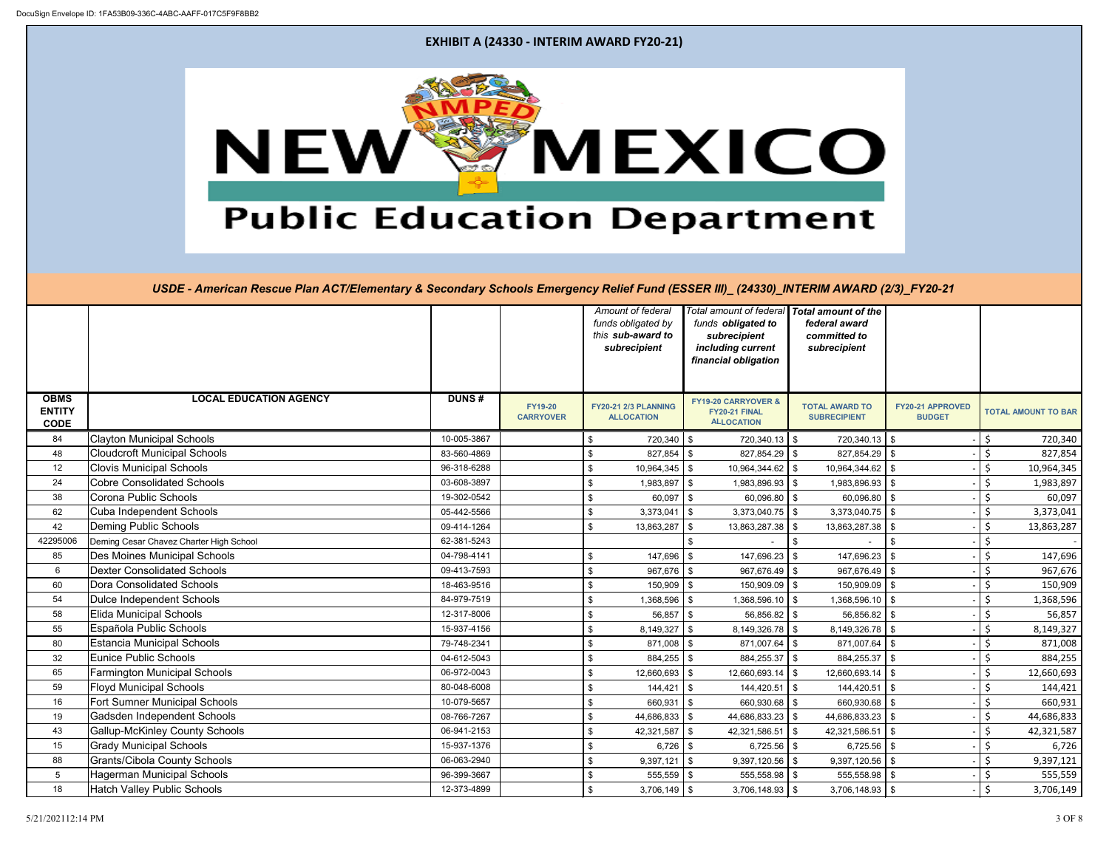

|                                             |                                         |              |                                    |     | Amount of federal<br>funds obligated by          |                           | funds obligated to                                               | Total amount of federal   Total amount of the<br>federal award |                                   |         |                            |
|---------------------------------------------|-----------------------------------------|--------------|------------------------------------|-----|--------------------------------------------------|---------------------------|------------------------------------------------------------------|----------------------------------------------------------------|-----------------------------------|---------|----------------------------|
|                                             |                                         |              |                                    |     | this sub-award to<br>subrecipient                |                           | subrecipient<br>including current<br>financial obligation        | committed to<br>subrecipient                                   |                                   |         |                            |
|                                             |                                         |              |                                    |     |                                                  |                           |                                                                  |                                                                |                                   |         |                            |
| <b>OBMS</b><br><b>ENTITY</b><br><b>CODE</b> | <b>LOCAL EDUCATION AGENCY</b>           | <b>DUNS#</b> | <b>FY19-20</b><br><b>CARRYOVER</b> |     | <b>FY20-21 2/3 PLANNING</b><br><b>ALLOCATION</b> |                           | FY19-20 CARRYOVER &<br><b>FY20-21 FINAL</b><br><b>ALLOCATION</b> | <b>TOTAL AWARD TO</b><br><b>SUBRECIPIENT</b>                   | FY20-21 APPROVED<br><b>BUDGET</b> |         | <b>TOTAL AMOUNT TO BAR</b> |
| 84                                          | <b>Clayton Municipal Schools</b>        | 10-005-3867  |                                    | \$  | 720,340   \$                                     |                           | $720,340.13$ \$                                                  | $720,340.13$ \$                                                |                                   | \$      | 720,340                    |
| 48                                          | <b>Cloudcroft Municipal Schools</b>     | 83-560-4869  |                                    | \$  | $827,854$ \$                                     |                           | $827,854.29$ \$                                                  | $827,854.29$ \$                                                |                                   | $\zeta$ | 827,854                    |
| 12                                          | <b>Clovis Municipal Schools</b>         | 96-318-6288  |                                    | \$  | $10,964,345$ \$                                  |                           | 10,964,344.62 \$                                                 | 10,964,344.62   \$                                             |                                   | $\zeta$ | 10,964,345                 |
| 24                                          | <b>Cobre Consolidated Schools</b>       | 03-608-3897  |                                    | \$  | 1,983,897 \$                                     |                           | $1,983,896.93$ \$                                                | 1,983,896.93 \$                                                |                                   | \$      | 1,983,897                  |
| 38                                          | Corona Public Schools                   | 19-302-0542  |                                    | \$  | $60,097$ \$                                      |                           | $60,096.80$ \$                                                   | $60,096.80$ \$                                                 |                                   | $\zeta$ | 60,097                     |
| 62                                          | Cuba Independent Schools                | 05-442-5566  |                                    | \$  | 3,373,041                                        | $\boldsymbol{\mathsf{S}}$ | $3,373,040.75$ \$                                                | $3,373,040.75$ \\$                                             |                                   | $\zeta$ | 3,373,041                  |
| 42                                          | <b>Deming Public Schools</b>            | 09-414-1264  |                                    | \$  | 13,863,287                                       | \$                        | 13,863,287.38                                                    | 13,863,287.38 \$<br>l \$                                       |                                   | $\zeta$ | 13,863,287                 |
| 42295006                                    | Deming Cesar Chavez Charter High School | 62-381-5243  |                                    |     |                                                  | \$                        |                                                                  | \$                                                             | \$                                | \$      |                            |
| 85                                          | Des Moines Municipal Schools            | 04-798-4141  |                                    | \$  | $147,696$ \$                                     |                           | 147,696.23                                                       | 147,696.23<br>-\$                                              |                                   | \$      | 147,696                    |
| $6\overline{6}$                             | <b>Dexter Consolidated Schools</b>      | 09-413-7593  |                                    | \$  | $967,676$ \$                                     |                           | 967,676.49                                                       | 967,676.49<br>l \$                                             |                                   | $\zeta$ | 967,676                    |
| 60                                          | Dora Consolidated Schools               | 18-463-9516  |                                    | \$  | $150,909$ \$                                     |                           | $150,909.09$ \$                                                  | 150,909.09                                                     |                                   | $\zeta$ | 150,909                    |
| 54                                          | <b>Dulce Independent Schools</b>        | 84-979-7519  |                                    | \$  | 1,368,596 \$                                     |                           | $1,368,596.10$ \$                                                | 1,368,596.10   \$                                              |                                   | $\zeta$ | 1,368,596                  |
| 58                                          | <b>Elida Municipal Schools</b>          | 12-317-8006  |                                    | \$  | $56,857$ \$                                      |                           | $56,856.82$ \$                                                   | 56,856.82                                                      |                                   | $\zeta$ | 56,857                     |
| 55                                          | Española Public Schools                 | 15-937-4156  |                                    | \$  | $8,149,327$ \$                                   |                           | $8,149,326.78$ \\$                                               | $8,149,326.78$ \\$                                             |                                   | $\zeta$ | 8,149,327                  |
| 80                                          | <b>Estancia Municipal Schools</b>       | 79-748-2341  |                                    | \$  | $871,008$ \$                                     |                           | $871,007.64$ \$                                                  | 871,007.64 \$                                                  |                                   | $\zeta$ | 871,008                    |
| 32                                          | <b>Eunice Public Schools</b>            | 04-612-5043  |                                    | \$  | $884,255$ \$                                     |                           | $884,255.37$ \$                                                  | 884,255.37 \$                                                  |                                   | $\zeta$ | 884,255                    |
| 65                                          | <b>Farmington Municipal Schools</b>     | 06-972-0043  |                                    | \$  | 12,660,693 \$                                    |                           | $12,660,693.14$ \\$                                              | $12,660,693.14$ \$                                             |                                   | \$      | 12,660,693                 |
| 59                                          | <b>Floyd Municipal Schools</b>          | 80-048-6008  |                                    | \$  | 144,421                                          | $\sqrt[6]{\frac{1}{2}}$   | $144,420.51$ \$                                                  | $144,420.51$ \$                                                |                                   | \$      | 144,421                    |
| 16                                          | <b>Fort Sumner Municipal Schools</b>    | 10-079-5657  |                                    | \$  | 660,931                                          | \$                        | $660,930.68$ \$                                                  | 660,930.68 \$                                                  |                                   | \$      | 660,931                    |
| 19                                          | Gadsden Independent Schools             | 08-766-7267  |                                    | \$  | 44,686,833                                       | $\sqrt[6]{3}$             | 44,686,833.23                                                    | 44,686,833.23 \$<br>l \$                                       |                                   | $\zeta$ | 44,686,833                 |
| 43                                          | <b>Gallup-McKinley County Schools</b>   | 06-941-2153  |                                    | \$  | 42,321,587                                       | $\sqrt[6]{3}$             | 42,321,586.51 \$                                                 | 42,321,586.51   \$                                             |                                   | $\zeta$ | 42,321,587                 |
| 15                                          | <b>Grady Municipal Schools</b>          | 15-937-1376  |                                    | \$  | $6,726$ \$                                       |                           | $6,725.56$ \$                                                    | $6,725.56$ \$                                                  |                                   | $\zeta$ | 6,726                      |
| 88                                          | <b>Grants/Cibola County Schools</b>     | 06-063-2940  |                                    | \$  | 9,397,121                                        | $\sqrt[6]{3}$             | 9,397,120.56                                                     | l \$<br>$9,397,120.56$ \\$                                     |                                   | $\zeta$ | 9,397,121                  |
| $5\phantom{.0}$                             | <b>Hagerman Municipal Schools</b>       | 96-399-3667  |                                    | \$  | $555,559$ \$                                     |                           | $555,558.98$ \$                                                  | $555,558.98$ \$                                                |                                   | \$      | 555,559                    |
| 18                                          | <b>Hatch Valley Public Schools</b>      | 12-373-4899  |                                    | \$. | $3,706,149$ \$                                   |                           | $3,706,148.93$ \\$                                               | $3,706,148.93$ \\$                                             |                                   | $\zeta$ | 3,706,149                  |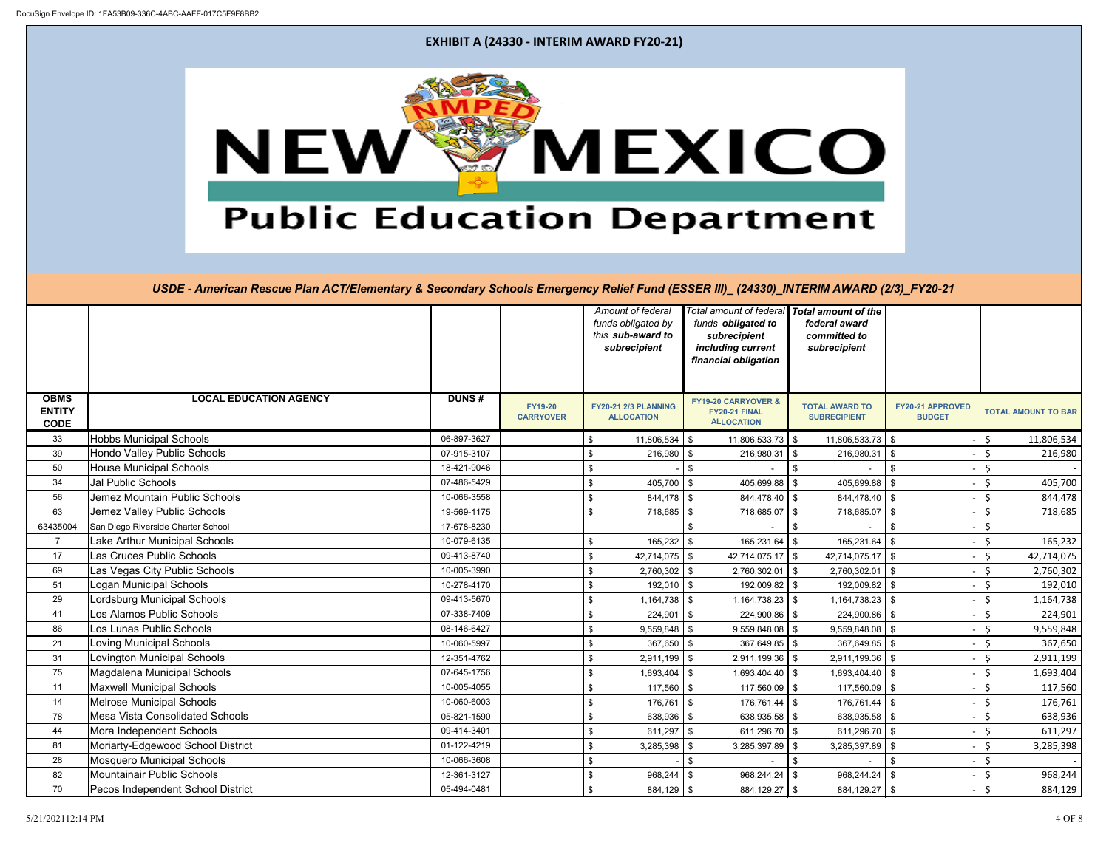

|                                             |                                        |              |                                    |     | Amount of federal<br>funds obligated by<br>this sub-award to<br>subrecipient |                           | funds obligated to<br>subrecipient<br>including current          | Total amount of federal   Total amount of the<br>federal award<br>committed to<br>subrecipient |                                   |         |                            |
|---------------------------------------------|----------------------------------------|--------------|------------------------------------|-----|------------------------------------------------------------------------------|---------------------------|------------------------------------------------------------------|------------------------------------------------------------------------------------------------|-----------------------------------|---------|----------------------------|
|                                             |                                        |              |                                    |     |                                                                              |                           | financial obligation                                             |                                                                                                |                                   |         |                            |
| <b>OBMS</b><br><b>ENTITY</b><br><b>CODE</b> | <b>LOCAL EDUCATION AGENCY</b>          | <b>DUNS#</b> | <b>FY19-20</b><br><b>CARRYOVER</b> |     | <b>FY20-21 2/3 PLANNING</b><br><b>ALLOCATION</b>                             |                           | FY19-20 CARRYOVER &<br><b>FY20-21 FINAL</b><br><b>ALLOCATION</b> | <b>TOTAL AWARD TO</b><br><b>SUBRECIPIENT</b>                                                   | FY20-21 APPROVED<br><b>BUDGET</b> |         | <b>TOTAL AMOUNT TO BAR</b> |
| 33                                          | <b>Hobbs Municipal Schools</b>         | 06-897-3627  |                                    | \$  | $11,806,534$ \$                                                              |                           | $11,806,533.73$ \$                                               | $11,806,533.73$ \$                                                                             |                                   | \$      | 11,806,534                 |
| 39                                          | <b>Hondo Valley Public Schools</b>     | 07-915-3107  |                                    | \$  | $216,980$ \$                                                                 |                           | $216,980.31$ \$                                                  | $216,980.31$ \$                                                                                |                                   | $\zeta$ | 216,980                    |
| 50                                          | <b>House Municipal Schools</b>         | 18-421-9046  |                                    | \$  |                                                                              | $$\mathbb{S}$$            |                                                                  | \$                                                                                             | \$                                | $\zeta$ |                            |
| 34                                          | <b>Jal Public Schools</b>              | 07-486-5429  |                                    | \$  | $405,700$ \$                                                                 |                           | 405,699.88                                                       | 405,699.88<br>\$                                                                               |                                   | \$      | 405,700                    |
| 56                                          | Jemez Mountain Public Schools          | 10-066-3558  |                                    | \$  | $844,478$ \ \$                                                               |                           | $844,478.40$ \$                                                  | $844,478.40$ \\$                                                                               |                                   | $\zeta$ | 844,478                    |
| 63                                          | Jemez Valley Public Schools            | 19-569-1175  |                                    | \$  | 718,685                                                                      | \$                        | 718,685.07                                                       | $1$ \$<br>718,685.07   \$                                                                      |                                   | $\zeta$ | 718,685                    |
| 63435004                                    | San Diego Riverside Charter School     | 17-678-8230  |                                    |     |                                                                              | \$                        |                                                                  | \$                                                                                             |                                   | $\zeta$ |                            |
| $\overline{7}$                              | Lake Arthur Municipal Schools          | 10-079-6135  |                                    | \$  | $165,232$ \$                                                                 |                           | 165,231.64                                                       | 165,231.64<br>\$                                                                               | \$                                | $\zeta$ | 165,232                    |
| 17                                          | Las Cruces Public Schools              | 09-413-8740  |                                    | \$  | 42,714,075 $\frac{1}{3}$                                                     |                           | 42,714,075.17 $\frac{1}{3}$                                      | $42,714,075.17$ \$                                                                             |                                   | $\zeta$ | 42,714,075                 |
| 69                                          | Las Vegas City Public Schools          | 10-005-3990  |                                    | \$  | $2,760,302$ \$                                                               |                           | 2,760,302.01                                                     | $2,760,302.01$ \$<br>l \$                                                                      |                                   | $\zeta$ | 2,760,302                  |
| 51                                          | Logan Municipal Schools                | 10-278-4170  |                                    | \$  | $192,010$ \$                                                                 |                           | $192,009.82$ \$                                                  | 192,009.82                                                                                     | \$                                | $\zeta$ | 192,010                    |
| 29                                          | Lordsburg Municipal Schools            | 09-413-5670  |                                    | \$  | $1,164,738$ \$                                                               |                           | $1,164,738.23$ \\$                                               | $1,164,738.23$ \\$                                                                             |                                   | $\zeta$ | 1,164,738                  |
| 41                                          | Los Alamos Public Schools              | 07-338-7409  |                                    | \$  | $224,901$ \$                                                                 |                           | 224,900.86                                                       | l \$<br>$224,900.86$ \ \$                                                                      |                                   | $\zeta$ | 224,901                    |
| 86                                          | Los Lunas Public Schools               | 08-146-6427  |                                    | \$  | $9,559,848$ \$                                                               |                           | $9,559,848.08$ \\$                                               | $9,559,848.08$ \\$                                                                             |                                   | $\zeta$ | 9,559,848                  |
| 21                                          | <b>Loving Municipal Schools</b>        | 10-060-5997  |                                    | \$  | $367,650$ \$                                                                 |                           | $367,649.85$ \$                                                  | 367,649.85                                                                                     |                                   | $\zeta$ | 367,650                    |
| 31                                          | Lovington Municipal Schools            | 12-351-4762  |                                    | \$  | 2,911,199                                                                    | ا \$                      | 2,911,199.36                                                     | $2,911,199.36$ \$<br>$\sqrt{3}$                                                                |                                   | $\zeta$ | 2,911,199                  |
| 75                                          | Magdalena Municipal Schools            | 07-645-1756  |                                    | \$  | 1,693,404                                                                    | \$                        | 1,693,404.40                                                     | 1,693,404.40   \$<br>l \$                                                                      |                                   | \$      | 1,693,404                  |
| 11                                          | <b>Maxwell Municipal Schools</b>       | 10-005-4055  |                                    | \$  | $117,560$ \$                                                                 |                           | $117,560.09$ \$                                                  | 117,560.09                                                                                     |                                   | \$      | 117,560                    |
| 14                                          | <b>Melrose Municipal Schools</b>       | 10-060-6003  |                                    | \$  | 176,761                                                                      | $\boldsymbol{\mathsf{S}}$ | $176,761.44$ \\ \$                                               | $176,761.44$ \ \$                                                                              |                                   | \$      | 176,761                    |
| 78                                          | <b>Mesa Vista Consolidated Schools</b> | 05-821-1590  |                                    | \$  | 638,936                                                                      | \$                        | 638,935.58                                                       | 638,935.58<br>$\mathfrak{F}$                                                                   |                                   | \$      | 638,936                    |
| 44                                          | Mora Independent Schools               | 09-414-3401  |                                    | \$  | 611,297   \$                                                                 |                           | 611,296.70                                                       | 611,296.70 $\frac{1}{9}$<br>$\sqrt{3}$                                                         |                                   | $\zeta$ | 611,297                    |
| 81                                          | Moriarty-Edgewood School District      | 01-122-4219  |                                    | \$  | $3,285,398$ \$                                                               |                           | $3,285,397.89$ \\$                                               | $3,285,397.89$ \\$                                                                             |                                   | $\zeta$ | 3,285,398                  |
| 28                                          | <b>Mosquero Municipal Schools</b>      | 10-066-3608  |                                    | \$  |                                                                              | \$                        |                                                                  | $\frac{1}{2}$                                                                                  | \$                                | $\zeta$ |                            |
| 82                                          | <b>Mountainair Public Schools</b>      | 12-361-3127  |                                    | \$  | 968,244                                                                      | -\$                       | $968,244.24$ \$                                                  | $968,244.24$ \ \$                                                                              |                                   | \$      | 968,244                    |
| 70                                          | Pecos Independent School District      | 05-494-0481  |                                    | \$. | $884,129$ \$                                                                 |                           | $884,129.27$ \$                                                  | 884,129.27 \$                                                                                  |                                   | $\zeta$ | 884,129                    |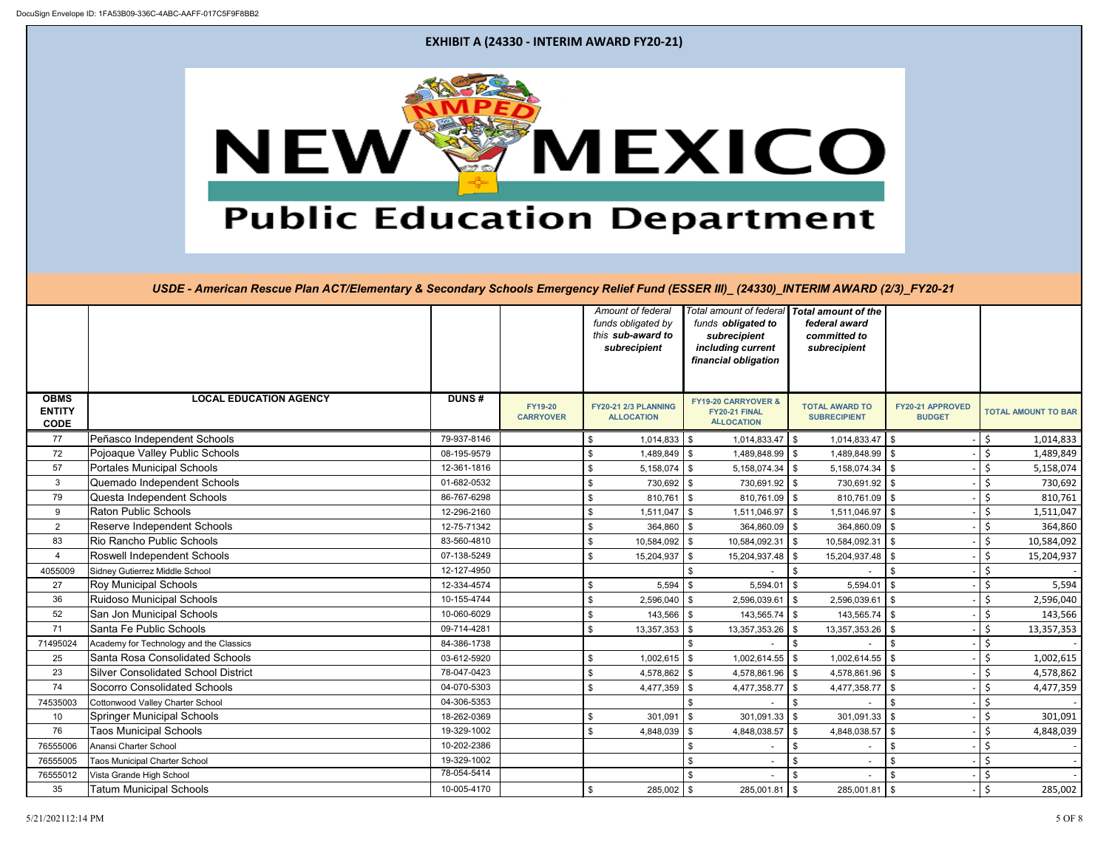

|                                             |                                            |              |                                    |     | Amount of federal<br>funds obligated by<br>this sub-award to |                            | Total amount of federal<br>funds obligated to<br>subrecipient | <b>Total amount of the</b><br>federal award<br>committed to |                                   |         |                            |
|---------------------------------------------|--------------------------------------------|--------------|------------------------------------|-----|--------------------------------------------------------------|----------------------------|---------------------------------------------------------------|-------------------------------------------------------------|-----------------------------------|---------|----------------------------|
|                                             |                                            |              |                                    |     | subrecipient                                                 |                            | including current<br>financial obligation                     | subrecipient                                                |                                   |         |                            |
| <b>OBMS</b><br><b>ENTITY</b><br><b>CODE</b> | <b>LOCAL EDUCATION AGENCY</b>              | <b>DUNS#</b> | <b>FY19-20</b><br><b>CARRYOVER</b> |     | <b>FY20-21 2/3 PLANNING</b><br><b>ALLOCATION</b>             |                            | FY19-20 CARRYOVER &<br>FY20-21 FINAL<br><b>ALLOCATION</b>     | <b>TOTAL AWARD TO</b><br><b>SUBRECIPIENT</b>                | FY20-21 APPROVED<br><b>BUDGET</b> |         | <b>TOTAL AMOUNT TO BAR</b> |
| 77                                          | Peñasco Independent Schools                | 79-937-8146  |                                    | \$  | 1,014,833                                                    | $\boldsymbol{\mathsf{S}}$  | $1,014,833.47$ \\$                                            | $1,014,833.47$ \\$                                          |                                   | \$      | 1,014,833                  |
| 72                                          | Pojoaque Valley Public Schools             | 08-195-9579  |                                    | \$  | 1,489,849                                                    | $\boldsymbol{\mathsf{S}}$  | 1,489,848.99 \$                                               | $1,489,848.99$ \ \$                                         |                                   | $\zeta$ | 1,489,849                  |
| 57                                          | <b>Portales Municipal Schools</b>          | 12-361-1816  |                                    | \$  | 5,158,074                                                    | $\boldsymbol{\mathsf{S}}$  | $5,158,074.34$ \\$                                            | $5,158,074.34$ \\$                                          |                                   | $\zeta$ | 5,158,074                  |
| $\mathbf{3}$                                | Quemado Independent Schools                | 01-682-0532  |                                    | \$  | 730,692                                                      | \$                         | 730,691.92 \$                                                 | 730,691.92 \$                                               |                                   | $\zeta$ | 730,692                    |
| 79                                          | Questa Independent Schools                 | 86-767-6298  |                                    | \$  | $810,761$ \$                                                 |                            | $810,761.09$ \$                                               | $810,761.09$ \$                                             |                                   | $\zeta$ | 810,761                    |
| 9                                           | <b>Raton Public Schools</b>                | 12-296-2160  |                                    | \$  | 1,511,047                                                    | $\boldsymbol{\mathsf{S}}$  | $1,511,046.97$ \\$                                            | $1,511,046.97$ \\$                                          |                                   | $\zeta$ | 1,511,047                  |
| $\overline{2}$                              | <b>Reserve Independent Schools</b>         | 12-75-71342  |                                    |     | 364,860                                                      | $\sqrt[6]{2}$              | $364,860.09$ \ \$                                             | $364,860.09$ \$                                             |                                   | $\zeta$ | 364,860                    |
| 83                                          | Rio Rancho Public Schools                  | 83-560-4810  |                                    | \$  | 10,584,092                                                   | $\boldsymbol{\mathsf{S}}$  | 10,584,092.31                                                 | $10,584,092.31$ \\$<br><b>\$</b>                            |                                   | \$      | 10,584,092                 |
| $\overline{4}$                              | Roswell Independent Schools                | 07-138-5249  |                                    | \$  | 15,204,937                                                   | $\mathfrak{S}$             | 15,204,937.48                                                 | $1$ \$<br>15,204,937.48   \$                                |                                   | \$      | 15,204,937                 |
| 4055009                                     | Sidney Gutierrez Middle School             | 12-127-4950  |                                    |     |                                                              | \$                         |                                                               | \$                                                          | \$                                | $\zeta$ |                            |
| 27                                          | <b>Roy Municipal Schools</b>               | 12-334-4574  |                                    | \$  | 5,594                                                        | $\mathfrak{S}$             | 5,594.01                                                      | $5,594.01$ \$<br>l \$                                       |                                   | $\zeta$ | 5,594                      |
| 36                                          | Ruidoso Municipal Schools                  | 10-155-4744  |                                    | \$  | 2,596,040                                                    | \$                         | $2,596,039.61$ \$                                             | $2,596,039.61$ \\$                                          |                                   | \$      | 2,596,040                  |
| 52                                          | San Jon Municipal Schools                  | 10-060-6029  |                                    | \$  | 143,566                                                      | $\boldsymbol{\mathsf{\$}}$ | $143,565.74$ \\$                                              | $143,565.74$ \\$                                            |                                   | $\zeta$ | 143,566                    |
| 71                                          | Santa Fe Public Schools                    | 09-714-4281  |                                    | \$  | 13,357,353                                                   | \$                         | 13,357,353.26                                                 | 13,357,353.26 \$<br>l \$                                    |                                   | $\zeta$ | 13,357,353                 |
| 71495024                                    | Academy for Technology and the Classics    | 84-386-1738  |                                    |     |                                                              | \$                         |                                                               | $\sqrt[6]{2}$                                               | \$                                | \$      |                            |
| 25                                          | Santa Rosa Consolidated Schools            | 03-612-5920  |                                    | \$  | 1,002,615                                                    | $\boldsymbol{\mathsf{S}}$  | 1,002,614.55                                                  | $1,002,614.55$ \\$<br>l \$                                  |                                   | $\zeta$ | 1,002,615                  |
| 23                                          | <b>Silver Consolidated School District</b> | 78-047-0423  |                                    | \$  | 4,578,862                                                    | \$                         | 4,578,861.96 \$                                               | 4,578,861.96 \$                                             |                                   | $\zeta$ | 4,578,862                  |
| 74                                          | <b>Socorro Consolidated Schools</b>        | 04-070-5303  |                                    | \$  | 4,477,359                                                    | $\sqrt[6]{2}$              | 4,477,358.77 $\frac{1}{3}$                                    | $4,477,358.77$ \\$                                          |                                   | $\zeta$ | 4,477,359                  |
| 74535003                                    | Cottonwood Valley Charter School           | 04-306-5353  |                                    |     |                                                              | \$                         |                                                               | \$                                                          | \$                                | \$      |                            |
| 10                                          | <b>Springer Municipal Schools</b>          | 18-262-0369  |                                    | \$  | 301,091                                                      | \$                         | 301,091.33                                                    | $301,091.33$ \$<br>l \$                                     |                                   | $\zeta$ | 301,091                    |
| 76                                          | <b>Taos Municipal Schools</b>              | 19-329-1002  |                                    | \$. | 4,848,039                                                    | $\boldsymbol{\mathsf{S}}$  | 4,848,038.57                                                  | 4,848,038.57 $\frac{1}{3}$<br>l \$                          |                                   | $\zeta$ | 4,848,039                  |
| 76555006                                    | Anansi Charter School                      | 10-202-2386  |                                    |     |                                                              | \$                         |                                                               | \$                                                          | \$                                | \$      |                            |
| 76555005                                    | <b>Taos Municipal Charter School</b>       | 19-329-1002  |                                    |     |                                                              | \$                         |                                                               | \$                                                          | \$                                | $\zeta$ |                            |
| 76555012                                    | Vista Grande High School                   | 78-054-5414  |                                    |     |                                                              | \$                         |                                                               | \$                                                          |                                   | \$      |                            |
| 35                                          | <b>Tatum Municipal Schools</b>             | 10-005-4170  |                                    | \$. | 285,002                                                      | \$                         | $285,001.81$ \$                                               | $285,001.81$ \$                                             |                                   | $\zeta$ | 285,002                    |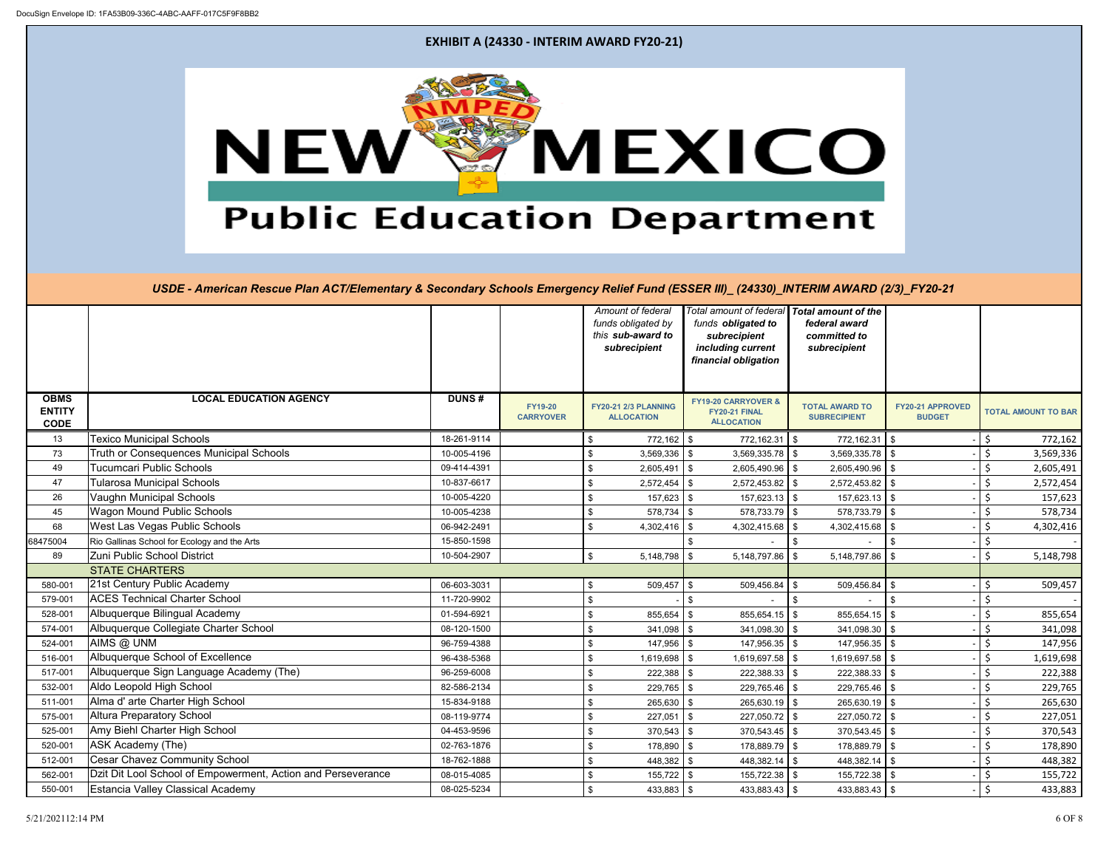

|                                             |                                                              |              |                                    |                | Amount of federal<br>funds obligated by<br>this sub-award to<br>subrecipient |          | funds obligated to<br>subrecipient<br>including current<br>financial obligation | Total amount of federal Total amount of the<br>federal award<br>committed to<br>subrecipient |                                          |         |                            |
|---------------------------------------------|--------------------------------------------------------------|--------------|------------------------------------|----------------|------------------------------------------------------------------------------|----------|---------------------------------------------------------------------------------|----------------------------------------------------------------------------------------------|------------------------------------------|---------|----------------------------|
| <b>OBMS</b><br><b>ENTITY</b><br><b>CODE</b> | <b>LOCAL EDUCATION AGENCY</b>                                | <b>DUNS#</b> | <b>FY19-20</b><br><b>CARRYOVER</b> |                | FY20-21 2/3 PLANNING<br><b>ALLOCATION</b>                                    |          | <b>FY19-20 CARRYOVER &amp;</b><br>FY20-21 FINAL<br><b>ALLOCATION</b>            | <b>TOTAL AWARD TO</b><br><b>SUBRECIPIENT</b>                                                 | <b>FY20-21 APPROVED</b><br><b>BUDGET</b> |         | <b>TOTAL AMOUNT TO BAR</b> |
| 13                                          | <b>Texico Municipal Schools</b>                              | 18-261-9114  |                                    | \$             | $772,162$ \$                                                                 |          | 772,162.31 \$                                                                   | $772,162.31$ \$                                                                              |                                          | $\zeta$ | 772,162                    |
| 73                                          | Truth or Consequences Municipal Schools                      | 10-005-4196  |                                    | \$             | $3,569,336$ \$                                                               |          | 3,569,335.78                                                                    | 3,569,335.78<br>$\mathfrak{S}$                                                               | \$                                       | $\zeta$ | 3,569,336                  |
| 49                                          | <b>Tucumcari Public Schools</b>                              | 09-414-4391  |                                    | \$             | $2,605,491$ \$                                                               |          | 2,605,490.96                                                                    | 2,605,490.96 \$<br>$\sqrt[6]{2}$                                                             |                                          | \$      | 2,605,491                  |
| 47                                          | <b>Tularosa Municipal Schools</b>                            | 10-837-6617  |                                    | \$             | $2,572,454$ \$                                                               |          | $2,572,453.82$ \$                                                               | $2,572,453.82$ \\$                                                                           |                                          | \$      | 2,572,454                  |
| 26                                          | Vaughn Municipal Schools                                     | 10-005-4220  |                                    | \$             | $157,623$ \$                                                                 |          | 157,623.13                                                                      | $157,623.13$ \$<br>$\sqrt[6]{2}$                                                             |                                          | $\zeta$ | 157,623                    |
| 45                                          | <b>Wagon Mound Public Schools</b>                            | 10-005-4238  |                                    | \$             | $578,734$ \$                                                                 |          | $578,733.79$ \$                                                                 | 578,733.79 \$                                                                                |                                          | $\zeta$ | 578,734                    |
| 68                                          | <b>West Las Vegas Public Schools</b>                         | 06-942-2491  |                                    | \$             | 4,302,416                                                                    | \$       | 4,302,415.68                                                                    | 4,302,415.68<br>\$                                                                           |                                          | $\zeta$ | 4,302,416                  |
| 68475004                                    | Rio Gallinas School for Ecology and the Arts                 | 15-850-1598  |                                    |                |                                                                              |          |                                                                                 | $\boldsymbol{\mathsf{S}}$                                                                    |                                          | $\zeta$ |                            |
| 89                                          | Zuni Public School District                                  | 10-504-2907  |                                    | $\mathfrak{S}$ | $5,148,798$ \$                                                               |          | 5,148,797.86                                                                    | $5,148,797.86$ \\$<br>\$                                                                     |                                          | $\zeta$ | 5,148,798                  |
|                                             | <b>STATE CHARTERS</b>                                        |              |                                    |                |                                                                              |          |                                                                                 |                                                                                              |                                          |         |                            |
| 580-001                                     | 21st Century Public Academy                                  | 06-603-3031  |                                    | \$             | $509,457$ \$                                                                 |          | 509,456.84                                                                      | $509,456.84$ \\$<br>\$                                                                       |                                          | \$      | 509,457                    |
| 579-001                                     | <b>ACES Technical Charter School</b>                         | 11-720-9902  |                                    | \$             |                                                                              | \$       |                                                                                 | \$                                                                                           |                                          | Ś       |                            |
| 528-001                                     | Albuquerque Bilingual Academy                                | 01-594-6921  |                                    | \$             | 855,654                                                                      | \$       | 855,654.15                                                                      | 855,654.15<br>$\mathfrak{S}$                                                                 | \$                                       | $\zeta$ | 855,654                    |
| 574-001                                     | Albuquerque Collegiate Charter School                        | 08-120-1500  |                                    | \$             | $341,098$ \$                                                                 |          | $341,098.30$ \$                                                                 | $341,098.30$ \$                                                                              |                                          | $\zeta$ | 341,098                    |
| 524-001                                     | AIMS @ UNM                                                   | 96-759-4388  |                                    | \$             | $147,956$ \$                                                                 |          | 147,956.35                                                                      | $147,956.35$ \$<br>$\sqrt[6]{2}$                                                             |                                          | $\zeta$ | 147,956                    |
| 516-001                                     | Albuquerque School of Excellence                             | 96-438-5368  |                                    | \$             | 1,619,698 \$                                                                 |          | 1,619,697.58                                                                    | 1,619,697.58 \$<br>\$                                                                        |                                          | \$      | 1,619,698                  |
| 517-001                                     | Albuquerque Sign Language Academy (The)                      | 96-259-6008  |                                    | \$             | $222,388$ \$                                                                 |          | 222,388.33                                                                      | \$<br>$222,388.33$ \ \$                                                                      |                                          | $\zeta$ | 222,388                    |
| 532-001                                     | Aldo Leopold High School                                     | 82-586-2134  |                                    | \$             | $229,765$ \$                                                                 |          | 229,765.46                                                                      | $\boldsymbol{\mathsf{S}}$<br>229,765.46                                                      | \$.                                      | $\zeta$ | 229,765                    |
| 511-001                                     | Alma d' arte Charter High School                             | 15-834-9188  |                                    | \$             | 265,630                                                                      | l \$     | 265,630.19                                                                      | \$<br>$265,630.19$ \$                                                                        |                                          | $\zeta$ | 265,630                    |
| 575-001                                     | <b>Altura Preparatory School</b>                             | 08-119-9774  |                                    | \$             | 227,051                                                                      | \$       | 227,050.72                                                                      | 227,050.72 \$<br>$\mathfrak{S}$                                                              |                                          | $\zeta$ | 227,051                    |
| 525-001                                     | Amy Biehl Charter High School                                | 04-453-9596  |                                    | \$.            | 370,543                                                                      | <b>S</b> | $370,543.45$ \$                                                                 | $370,543.45$ \$                                                                              |                                          | $\zeta$ | 370,543                    |
| 520-001                                     | ASK Academy (The)                                            | 02-763-1876  |                                    | \$             | $178,890$ \$                                                                 |          | 178,889.79 \$                                                                   | 178,889.79 \$                                                                                |                                          | \$      | 178,890                    |
| 512-001                                     | <b>Cesar Chavez Community School</b>                         | 18-762-1888  |                                    | \$             | $448,382$ \$                                                                 |          | 448,382.14                                                                      | $\boldsymbol{\mathsf{S}}$<br>$448,382.14$ \\$                                                |                                          | $\zeta$ | 448,382                    |
| 562-001                                     | Dzit Dit Lool School of Empowerment, Action and Perseverance | 08-015-4085  |                                    | \$             | $155,722$ \$                                                                 |          | 155,722.38                                                                      | \$<br>155,722.38 \$                                                                          |                                          | $\zeta$ | 155,722                    |
| 550-001                                     | <b>Estancia Valley Classical Academy</b>                     | 08-025-5234  |                                    | \$             | $433,883$ \$                                                                 |          | 433,883.43                                                                      | $\mathfrak{S}$<br>$433,883.43$ \$                                                            |                                          | $\zeta$ | 433,883                    |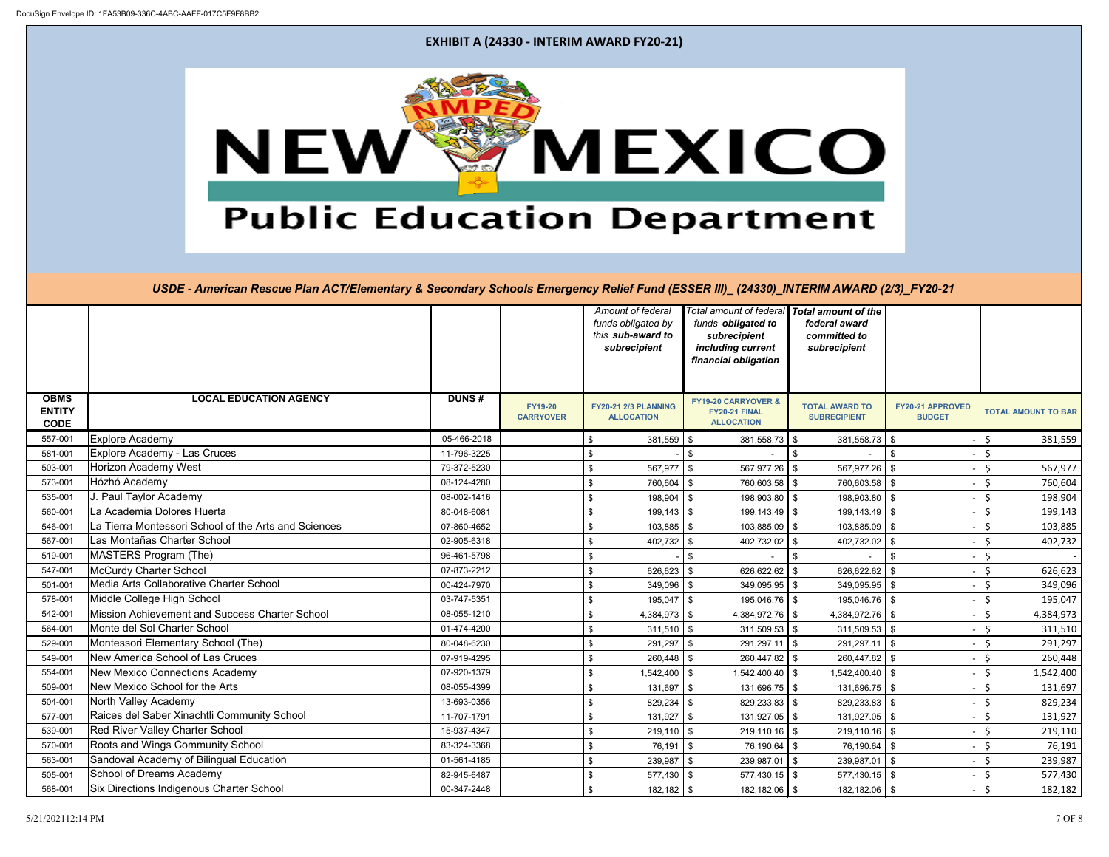

|                                             |                                                      |              |                                    |               | Amount of federal<br>funds obligated by<br>this sub-award to<br>subrecipient | Total amount of federal<br>funds obligated to<br>subrecipient<br>including current<br>financial obligation | <b>Total amount of the</b><br>federal award<br>committed to<br>subrecipient |                                   |                    |                            |
|---------------------------------------------|------------------------------------------------------|--------------|------------------------------------|---------------|------------------------------------------------------------------------------|------------------------------------------------------------------------------------------------------------|-----------------------------------------------------------------------------|-----------------------------------|--------------------|----------------------------|
| <b>OBMS</b><br><b>ENTITY</b><br><b>CODE</b> | <b>LOCAL EDUCATION AGENCY</b>                        | <b>DUNS#</b> | <b>FY19-20</b><br><b>CARRYOVER</b> |               | <b>FY20-21 2/3 PLANNING</b><br><b>ALLOCATION</b>                             | <b>FY19-20 CARRYOVER &amp;</b><br>FY20-21 FINAL<br><b>ALLOCATION</b>                                       | <b>TOTAL AWARD TO</b><br><b>SUBRECIPIENT</b>                                | FY20-21 APPROVED<br><b>BUDGET</b> |                    | <b>TOTAL AMOUNT TO BAR</b> |
| 557-001                                     | <b>Explore Academy</b>                               | 05-466-2018  |                                    | $\frac{1}{2}$ | $381,559$ \$                                                                 | $381,558.73$ \$                                                                                            | $381,558.73$ \$                                                             |                                   | \$                 | 381,559                    |
| 581-001                                     | <b>Explore Academy - Las Cruces</b>                  | 11-796-3225  |                                    | $\frac{1}{2}$ |                                                                              | $\boldsymbol{\mathsf{S}}$                                                                                  | $\sqrt[6]{2}$                                                               | \$                                | $\zeta$            |                            |
| 503-001                                     | <b>Horizon Academy West</b>                          | 79-372-5230  |                                    | $\frac{1}{2}$ | 567,977                                                                      | $\mathfrak s$<br>567,977.26                                                                                | 567,977.26<br>$\boldsymbol{\mathsf{S}}$                                     | \$                                | $\zeta$            | 567,977                    |
| 573-001                                     | Hózhó Academy                                        | 08-124-4280  |                                    | \$            | 760,604                                                                      | 760,603.58<br>\$                                                                                           | $\sqrt[6]{2}$<br>760,603.58                                                 |                                   | \$                 | 760,604                    |
| 535-001                                     | J. Paul Taylor Academy                               | 08-002-1416  |                                    | \$            | 198,904                                                                      | 198,903.80<br>\$                                                                                           | $\mathfrak{S}$<br>198,903.80 \$                                             |                                   | $\zeta$            | 198,904                    |
| 560-001                                     | La Academia Dolores Huerta                           | 80-048-6081  |                                    | $\frac{1}{2}$ | 199,143                                                                      | $199, 143.49$ \$<br>\$                                                                                     | $199, 143.49$ \$                                                            |                                   | $\zeta$            | 199,143                    |
| 546-001                                     | La Tierra Montessori School of the Arts and Sciences | 07-860-4652  |                                    | $\frac{1}{2}$ | $103,885$ \$                                                                 | $103,885.09$ \$                                                                                            | 103,885.09 \$                                                               |                                   | \$                 | 103,885                    |
| 567-001                                     | Las Montañas Charter School                          | 02-905-6318  |                                    | \$            | 402,732                                                                      | 402,732.02<br>\$                                                                                           | $\boldsymbol{\mathsf{S}}$<br>402,732.02                                     | \$                                | Ś.                 | 402,732                    |
| 519-001                                     | <b>MASTERS Program (The)</b>                         | 96-461-5798  |                                    | \$            |                                                                              | \$                                                                                                         | \$                                                                          | \$                                | \$                 |                            |
| 547-001                                     | <b>McCurdy Charter School</b>                        | 07-873-2212  |                                    | \$            | 626,623                                                                      | 626,622.62<br>\$                                                                                           | 626,622.62<br>\$                                                            | \$                                | Ś.                 | 626,623                    |
| 501-001                                     | Media Arts Collaborative Charter School              | 00-424-7970  |                                    | \$            | 349,096                                                                      | 349,095.95<br>\$                                                                                           | 349,095.95<br>$\sqrt[6]{2}$                                                 | l \$                              | $\zeta$            | 349,096                    |
| 578-001                                     | Middle College High School                           | 03-747-5351  |                                    | $\frac{1}{2}$ | 195,047                                                                      | \$<br>$195,046.76$ \ \$                                                                                    | $195,046.76$ \$                                                             |                                   | \$                 | 195,047                    |
| 542-001                                     | Mission Achievement and Success Charter School       | 08-055-1210  |                                    | \$            | $4,384,973$ \$                                                               | 4,384,972.76 $\frac{1}{3}$                                                                                 | 4,384,972.76                                                                | $\mathbf{\hat{s}}$                | $\zeta$            | 4,384,973                  |
| 564-001                                     | Monte del Sol Charter School                         | 01-474-4200  |                                    | \$            | $311,510$ \$                                                                 | $311,509.53$ \$                                                                                            | $311,509.53$ \$                                                             |                                   | \$                 | 311,510                    |
| 529-001                                     | Montessori Elementary School (The)                   | 80-048-6230  |                                    | \$            | 291,297                                                                      | $291,297.11$ \$<br>\$                                                                                      | $291,297.11$ \$                                                             |                                   | $\zeta$            | 291,297                    |
| 549-001                                     | New America School of Las Cruces                     | 07-919-4295  |                                    | \$            | 260,448                                                                      | 260,447.82<br>\$                                                                                           | $260,447.82$ \$<br>$\sqrt[6]{2}$                                            |                                   | \$                 | 260,448                    |
| 554-001                                     | <b>New Mexico Connections Academy</b>                | 07-920-1379  |                                    | $\frac{1}{2}$ | 1,542,400                                                                    | 1,542,400.40<br>$\sqrt[6]{3}$                                                                              | $1,542,400.40$ \\$<br>$\sqrt[6]{2}$                                         |                                   | \$                 | 1,542,400                  |
| 509-001                                     | New Mexico School for the Arts                       | 08-055-4399  |                                    | \$            | 131,697                                                                      | 131,696.75<br>$\sqrt[6]{3}$                                                                                | 131,696.75<br>$\sqrt[6]{2}$                                                 | $\mathbf{\hat{s}}$                | \$                 | 131,697                    |
| 504-001                                     | North Valley Academy                                 | 13-693-0356  |                                    | \$            | 829,234                                                                      | 829,233.83<br>\$                                                                                           | $829,233.83$ \$<br>\$                                                       |                                   | \$                 | 829,234                    |
| 577-001                                     | Raices del Saber Xinachtli Community School          | 11-707-1791  |                                    | \$            | 131,927                                                                      | 131,927.05<br>\$                                                                                           | 131,927.05 \$<br>\$                                                         |                                   | Š.                 | 131,927                    |
| 539-001                                     | Red River Valley Charter School                      | 15-937-4347  |                                    | \$            | 219,110                                                                      | 219,110.16<br>\$                                                                                           | $219,110.16$ \$<br>\$                                                       |                                   | \$                 | 219,110                    |
| 570-001                                     | Roots and Wings Community School                     | 83-324-3368  |                                    | \$            | 76,191                                                                       | 76,190.64<br>\$                                                                                            | $76,190.64$ \ \ \$<br>\$                                                    |                                   | \$                 | 76,191                     |
| 563-001                                     | Sandoval Academy of Bilingual Education              | 01-561-4185  |                                    | \$            | 239,987                                                                      | $\sqrt[6]{2}$<br>239,987.01                                                                                | $\boldsymbol{\mathsf{S}}$<br>$239,987.01$ \$                                |                                   | $\zeta$            | 239,987                    |
| 505-001                                     | School of Dreams Academy                             | 82-945-6487  |                                    | \$            | $577,430$ \$                                                                 | $577,430.15$ \$                                                                                            | $577,430.15$ \$                                                             |                                   | $\zeta$            | 577,430                    |
| 568-001                                     | Six Directions Indigenous Charter School             | 00-347-2448  |                                    | \$            | $182,182$ \$                                                                 | 182,182.06 \$                                                                                              | 182,182.06 \$                                                               |                                   | $\mathsf{\dot{S}}$ | 182,182                    |